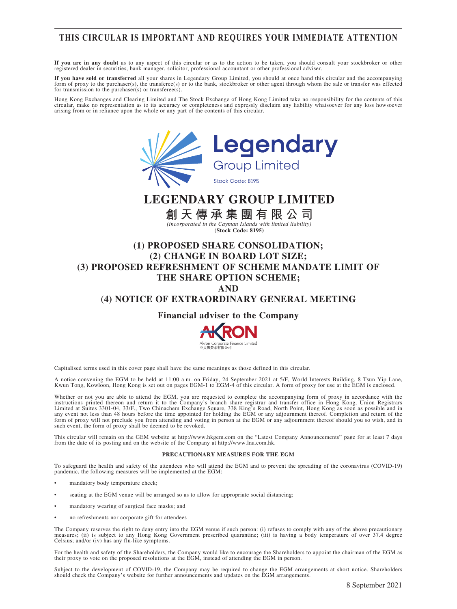### **THIS CIRCULAR IS IMPORTANT AND REQUIRES YOUR IMMEDIATE ATTENTION**

**If you are in any doubt** as to any aspect of this circular or as to the action to be taken, you should consult your stockbroker or other registered dealer in securities, bank manager, solicitor, professional accountant or other professional adviser.

If you have sold or transferred all your shares in Legendary Group Limited, you should at once hand this circular and the accompanying<br>form of proxy to the purchaser(s), the transferee(s) or to the bank, stockbroker or oth for transmission to the purchaser(s), the transferee(s).

Hong Kong Exchanges and Clearing Limited and The Stock Exchange of Hong Kong Limited take no responsibility for the contents of this circular, make no representation as to its accuracy or completeness and expressly disclaim any liability whatsoever for any loss howsoever arising from or in reliance upon the whole or any part of the contents of this circular.



# **LEGENDARY GROUP LIMITED**

**創天傳承集團有限公司**

*(incorporated in the Cayman Islands with limited liability)* **(Stock Code: 8195)**

### **(1) PROPOSED SHARE CONSOLIDATION; (2) CHANGE IN BOARD LOT SIZE; (3) PROPOSED REFRESHMENT OF SCHEME MANDATE LIMIT OF THE SHARE OPTION SCHEME; AND**

### **(4) NOTICE OF EXTRAORDINARY GENERAL MEETING**

**Financial adviser to the Company**



Capitalised terms used in this cover page shall have the same meanings as those defined in this circular.

A notice convening the EGM to be held at 11:00 a.m. on Friday, 24 September 2021 at 5/F, World Interests Building, 8 Tsun Yip Lane, Kwun Tong, Kowloon, Hong Kong is set out on pages EGM-1 to EGM-4 of this circular. A form of proxy for use at the EGM is enclosed.

Whether or not you are able to attend the EGM, you are requested to complete the accompanying form of proxy in accordance with the instructions printed thereon and return it to the Company's branch share registrar and tran such event, the form of proxy shall be deemed to be revoked.

This circular will remain on the GEM website at http://www.hkgem.com on the "Latest Company Announcements" page for at least 7 days from the date of its posting and on the website of the Company at http://www.lna.com.hk.

#### **PRECAUTIONARY MEASURES FOR THE EGM**

To safeguard the health and safety of the attendees who will attend the EGM and to prevent the spreading of the coronavirus (COVID-19) pandemic, the following measures will be implemented at the EGM:

- mandatory body temperature check;
- seating at the EGM venue will be arranged so as to allow for appropriate social distancing;
- mandatory wearing of surgical face masks; and
- no refreshments nor corporate gift for attendees

The Company reserves the right to deny entry into the EGM venue if such person: (i) refuses to comply with any of the above precautionary measures; (ii) is subject to any Hong Kong Government prescribed quarantine; (iii) is having a body temperature of over 37.4 degree Celsius; and/or (iv) has any flu-like symptoms.

For the health and safety of the Shareholders, the Company would like to encourage the Shareholders to appoint the chairman of the EGM as<br>their proxy to vote on the proposed resolutions at the EGM, instead of attending the

Subject to the development of COVID-19, the Company may be required to change the EGM arrangements at short notice. Shareholders should check the Company's website for further announcements and updates on the EGM arrangements.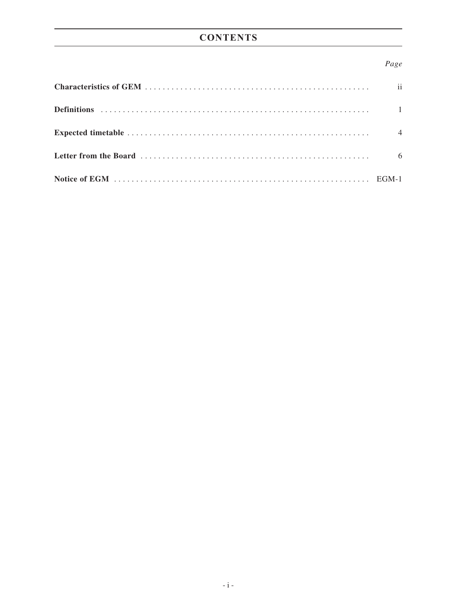# **CONTENTS**

### *Page*

| $\mathbf{ii}$  |
|----------------|
|                |
| $\overline{4}$ |
| 6              |
|                |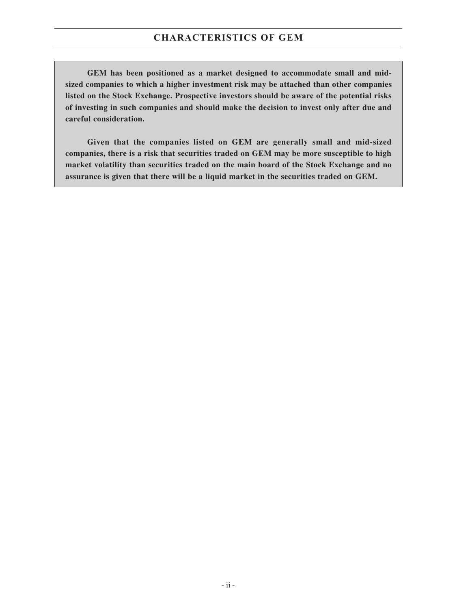**GEM has been positioned as a market designed to accommodate small and midsized companies to which a higher investment risk may be attached than other companies listed on the Stock Exchange. Prospective investors should be aware of the potential risks of investing in such companies and should make the decision to invest only after due and careful consideration.**

**Given that the companies listed on GEM are generally small and mid-sized companies, there is a risk that securities traded on GEM may be more susceptible to high market volatility than securities traded on the main board of the Stock Exchange and no assurance is given that there will be a liquid market in the securities traded on GEM.**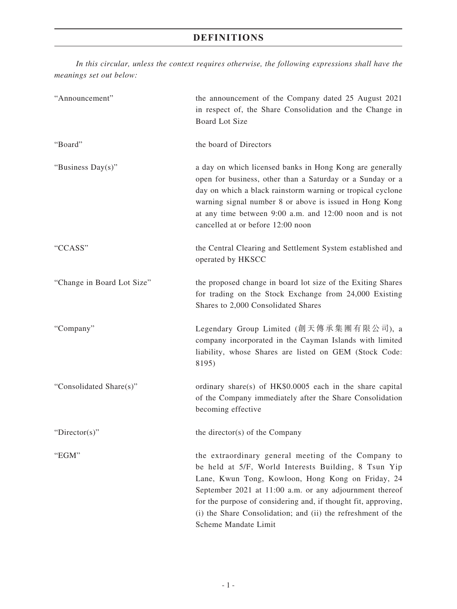# **DEFINITIONS**

*In this circular, unless the context requires otherwise, the following expressions shall have the meanings set out below:*

| "Announcement"             | the announcement of the Company dated 25 August 2021<br>in respect of, the Share Consolidation and the Change in<br><b>Board Lot Size</b>                                                                                                                                                                                                                                             |  |  |
|----------------------------|---------------------------------------------------------------------------------------------------------------------------------------------------------------------------------------------------------------------------------------------------------------------------------------------------------------------------------------------------------------------------------------|--|--|
| "Board"                    | the board of Directors                                                                                                                                                                                                                                                                                                                                                                |  |  |
| "Business Day(s)"          | a day on which licensed banks in Hong Kong are generally<br>open for business, other than a Saturday or a Sunday or a<br>day on which a black rainstorm warning or tropical cyclone<br>warning signal number 8 or above is issued in Hong Kong<br>at any time between 9:00 a.m. and 12:00 noon and is not<br>cancelled at or before 12:00 noon                                        |  |  |
| "CCASS"                    | the Central Clearing and Settlement System established and<br>operated by HKSCC                                                                                                                                                                                                                                                                                                       |  |  |
| "Change in Board Lot Size" | the proposed change in board lot size of the Exiting Shares<br>for trading on the Stock Exchange from 24,000 Existing<br>Shares to 2,000 Consolidated Shares                                                                                                                                                                                                                          |  |  |
| "Company"                  | Legendary Group Limited (創天傳承集團有限公司), a<br>company incorporated in the Cayman Islands with limited<br>liability, whose Shares are listed on GEM (Stock Code:<br>8195)                                                                                                                                                                                                                 |  |  |
| "Consolidated Share(s)"    | ordinary share(s) of HK\$0.0005 each in the share capital<br>of the Company immediately after the Share Consolidation<br>becoming effective                                                                                                                                                                                                                                           |  |  |
| "Director(s)"              | the director(s) of the Company                                                                                                                                                                                                                                                                                                                                                        |  |  |
| "EGM"                      | the extraordinary general meeting of the Company to<br>be held at 5/F, World Interests Building, 8 Tsun Yip<br>Lane, Kwun Tong, Kowloon, Hong Kong on Friday, 24<br>September 2021 at 11:00 a.m. or any adjournment thereof<br>for the purpose of considering and, if thought fit, approving,<br>(i) the Share Consolidation; and (ii) the refreshment of the<br>Scheme Mandate Limit |  |  |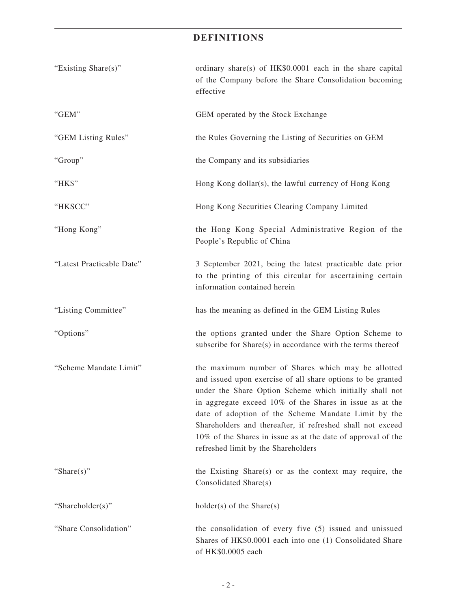# **DEFINITIONS**

| "Existing Share(s)"       | ordinary share(s) of HK\$0.0001 each in the share capital<br>of the Company before the Share Consolidation becoming<br>effective                                                                                                                                                                                                                                                                                                                                     |
|---------------------------|----------------------------------------------------------------------------------------------------------------------------------------------------------------------------------------------------------------------------------------------------------------------------------------------------------------------------------------------------------------------------------------------------------------------------------------------------------------------|
| "GEM"                     | GEM operated by the Stock Exchange                                                                                                                                                                                                                                                                                                                                                                                                                                   |
| "GEM Listing Rules"       | the Rules Governing the Listing of Securities on GEM                                                                                                                                                                                                                                                                                                                                                                                                                 |
| "Group"                   | the Company and its subsidiaries                                                                                                                                                                                                                                                                                                                                                                                                                                     |
| "HK\$"                    | Hong Kong dollar(s), the lawful currency of Hong Kong                                                                                                                                                                                                                                                                                                                                                                                                                |
| "HKSCC"                   | Hong Kong Securities Clearing Company Limited                                                                                                                                                                                                                                                                                                                                                                                                                        |
| "Hong Kong"               | the Hong Kong Special Administrative Region of the<br>People's Republic of China                                                                                                                                                                                                                                                                                                                                                                                     |
| "Latest Practicable Date" | 3 September 2021, being the latest practicable date prior<br>to the printing of this circular for ascertaining certain<br>information contained herein                                                                                                                                                                                                                                                                                                               |
| "Listing Committee"       | has the meaning as defined in the GEM Listing Rules                                                                                                                                                                                                                                                                                                                                                                                                                  |
| "Options"                 | the options granted under the Share Option Scheme to<br>subscribe for Share(s) in accordance with the terms thereof                                                                                                                                                                                                                                                                                                                                                  |
| "Scheme Mandate Limit"    | the maximum number of Shares which may be allotted<br>and issued upon exercise of all share options to be granted<br>under the Share Option Scheme which initially shall not<br>in aggregate exceed 10% of the Shares in issue as at the<br>date of adoption of the Scheme Mandate Limit by the<br>Shareholders and thereafter, if refreshed shall not exceed<br>10% of the Shares in issue as at the date of approval of the<br>refreshed limit by the Shareholders |
| "Share $(s)$ "            | the Existing Share(s) or as the context may require, the<br>Consolidated Share(s)                                                                                                                                                                                                                                                                                                                                                                                    |
| "Shareholder(s)"          | $holder(s)$ of the Share $(s)$                                                                                                                                                                                                                                                                                                                                                                                                                                       |
| "Share Consolidation"     | the consolidation of every five (5) issued and unissued<br>Shares of HK\$0.0001 each into one (1) Consolidated Share<br>of HK\$0.0005 each                                                                                                                                                                                                                                                                                                                           |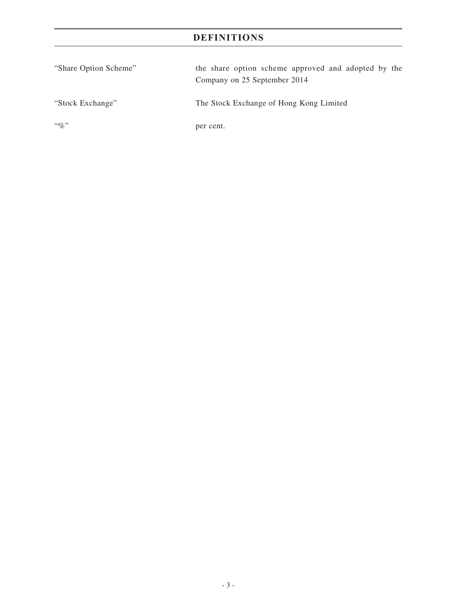# **DEFINITIONS**

| "Share Option Scheme" | the share option scheme approved and adopted by the<br>Company on 25 September 2014 |
|-----------------------|-------------------------------------------------------------------------------------|
| "Stock Exchange"      | The Stock Exchange of Hong Kong Limited                                             |
| $\lq\lq q_0$ "        | per cent.                                                                           |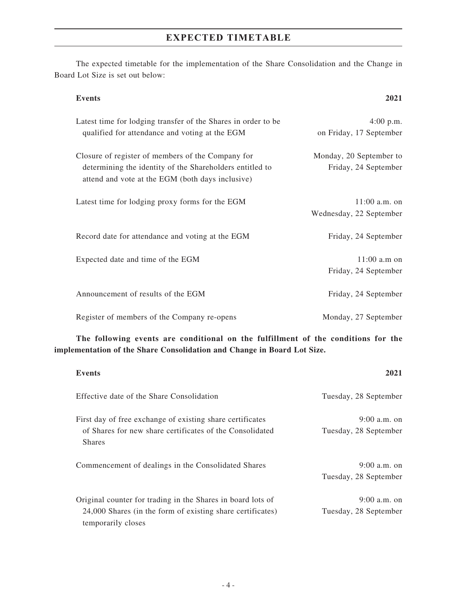## **EXPECTED TIMETABLE**

The expected timetable for the implementation of the Share Consolidation and the Change in Board Lot Size is set out below:

#### **Events 2021**

| Latest time for lodging transfer of the Shares in order to be<br>qualified for attendance and voting at the EGM                                                   | $4:00$ p.m.<br>on Friday, 17 September          |
|-------------------------------------------------------------------------------------------------------------------------------------------------------------------|-------------------------------------------------|
| Closure of register of members of the Company for<br>determining the identity of the Shareholders entitled to<br>attend and vote at the EGM (both days inclusive) | Monday, 20 September to<br>Friday, 24 September |
| Latest time for lodging proxy forms for the EGM                                                                                                                   | $11:00$ a.m. on<br>Wednesday, 22 September      |
| Record date for attendance and voting at the EGM                                                                                                                  | Friday, 24 September                            |
| Expected date and time of the EGM                                                                                                                                 | $11:00$ a.m on<br>Friday, 24 September          |
| Announcement of results of the EGM                                                                                                                                | Friday, 24 September                            |
| Register of members of the Company re-opens                                                                                                                       | Monday, 27 September                            |

**The following events are conditional on the fulfillment of the conditions for the implementation of the Share Consolidation and Change in Board Lot Size.**

| Events                                                                                                                                          | 2021                                    |
|-------------------------------------------------------------------------------------------------------------------------------------------------|-----------------------------------------|
| Effective date of the Share Consolidation                                                                                                       | Tuesday, 28 September                   |
| First day of free exchange of existing share certificates<br>of Shares for new share certificates of the Consolidated<br><b>Shares</b>          | $9:00$ a.m. on<br>Tuesday, 28 September |
| Commencement of dealings in the Consolidated Shares                                                                                             | $9:00$ a.m. on<br>Tuesday, 28 September |
| Original counter for trading in the Shares in board lots of<br>24,000 Shares (in the form of existing share certificates)<br>temporarily closes | $9:00$ a.m. on<br>Tuesday, 28 September |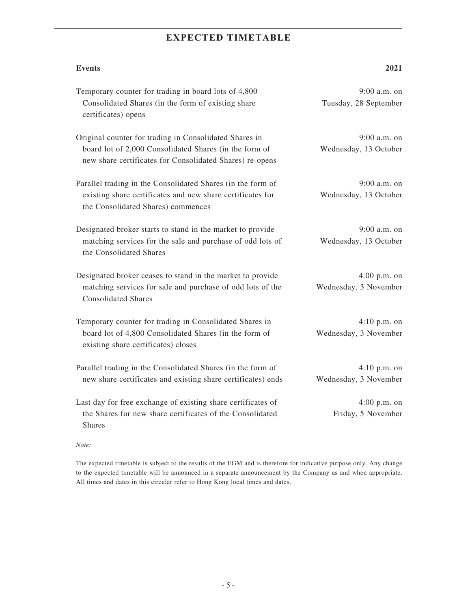# **EXPECTED TIMETABLE**

**Events 2021**

| Temporary counter for trading in board lots of 4,800<br>Consolidated Shares (in the form of existing share<br>certificates) opens                                            | 9:00 a.m. on<br>Tuesday, 28 September   |
|------------------------------------------------------------------------------------------------------------------------------------------------------------------------------|-----------------------------------------|
| Original counter for trading in Consolidated Shares in<br>board lot of 2,000 Consolidated Shares (in the form of<br>new share certificates for Consolidated Shares) re-opens | $9:00$ a.m. on<br>Wednesday, 13 October |
| Parallel trading in the Consolidated Shares (in the form of<br>existing share certificates and new share certificates for<br>the Consolidated Shares) commences              | $9:00$ a.m. on<br>Wednesday, 13 October |
| Designated broker starts to stand in the market to provide<br>matching services for the sale and purchase of odd lots of<br>the Consolidated Shares                          | $9:00$ a.m. on<br>Wednesday, 13 October |
| Designated broker ceases to stand in the market to provide<br>matching services for sale and purchase of odd lots of the<br><b>Consolidated Shares</b>                       | $4:00$ p.m. on<br>Wednesday, 3 November |
| Temporary counter for trading in Consolidated Shares in<br>board lot of 4,800 Consolidated Shares (in the form of<br>existing share certificates) closes                     | $4:10$ p.m. on<br>Wednesday, 3 November |
| Parallel trading in the Consolidated Shares (in the form of<br>new share certificates and existing share certificates) ends                                                  | $4:10$ p.m. on<br>Wednesday, 3 November |
| Last day for free exchange of existing share certificates of<br>the Shares for new share certificates of the Consolidated<br><b>Shares</b>                                   | $4:00$ p.m. on<br>Friday, 5 November    |

*Note:*

The expected timetable is subject to the results of the EGM and is therefore for indicative purpose only. Any change to the expected timetable will be announced in a separate announcement by the Company as and when appropriate. All times and dates in this circular refer to Hong Kong local times and dates.

- 5 -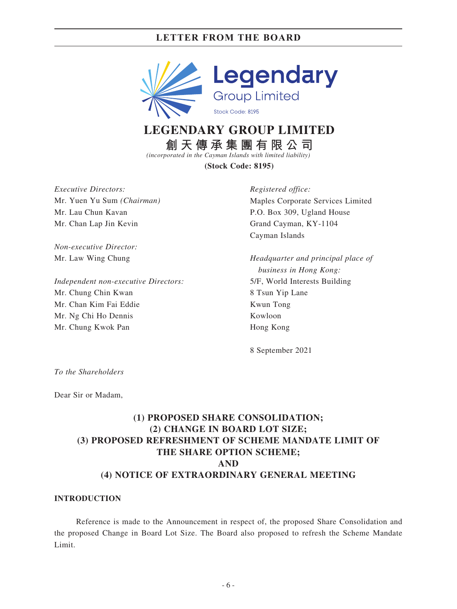

# **LEGENDARY GROUP LIMITED**

**創天傳承集團有限公司**

*(incorporated in the Cayman Islands with limited liability)*

**(Stock Code: 8195)**

*Executive Directors:* Mr. Yuen Yu Sum *(Chairman)* Mr. Lau Chun Kavan Mr. Chan Lap Jin Kevin

*Non-executive Director:* Mr. Law Wing Chung

*Independent non-executive Directors:* Mr. Chung Chin Kwan Mr. Chan Kim Fai Eddie Mr. Ng Chi Ho Dennis Mr. Chung Kwok Pan

*Registered office:* Maples Corporate Services Limited P.O. Box 309, Ugland House Grand Cayman, KY-1104 Cayman Islands

*Headquarter and principal place of business in Hong Kong:* 5/F, World Interests Building 8 Tsun Yip Lane Kwun Tong Kowloon Hong Kong

8 September 2021

*To the Shareholders*

Dear Sir or Madam,

### **(1) PROPOSED SHARE CONSOLIDATION; (2) CHANGE IN BOARD LOT SIZE; (3) PROPOSED REFRESHMENT OF SCHEME MANDATE LIMIT OF THE SHARE OPTION SCHEME; AND (4) NOTICE OF EXTRAORDINARY GENERAL MEETING**

#### **INTRODUCTION**

Reference is made to the Announcement in respect of, the proposed Share Consolidation and the proposed Change in Board Lot Size. The Board also proposed to refresh the Scheme Mandate Limit.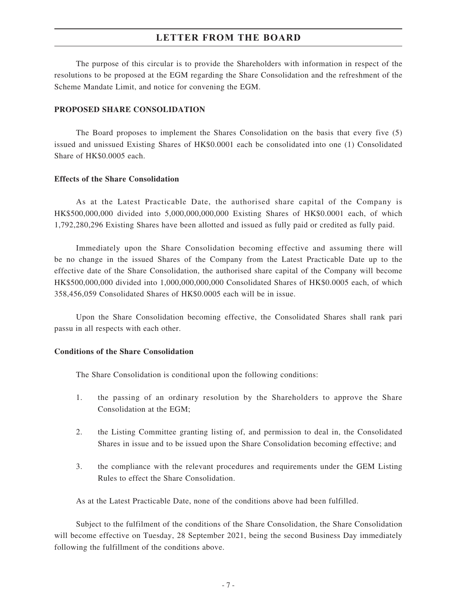The purpose of this circular is to provide the Shareholders with information in respect of the resolutions to be proposed at the EGM regarding the Share Consolidation and the refreshment of the Scheme Mandate Limit, and notice for convening the EGM.

#### **PROPOSED SHARE CONSOLIDATION**

The Board proposes to implement the Shares Consolidation on the basis that every five (5) issued and unissued Existing Shares of HK\$0.0001 each be consolidated into one (1) Consolidated Share of HK\$0.0005 each.

#### **Effects of the Share Consolidation**

As at the Latest Practicable Date, the authorised share capital of the Company is HK\$500,000,000 divided into 5,000,000,000,000 Existing Shares of HK\$0.0001 each, of which 1,792,280,296 Existing Shares have been allotted and issued as fully paid or credited as fully paid.

Immediately upon the Share Consolidation becoming effective and assuming there will be no change in the issued Shares of the Company from the Latest Practicable Date up to the effective date of the Share Consolidation, the authorised share capital of the Company will become HK\$500,000,000 divided into 1,000,000,000,000 Consolidated Shares of HK\$0.0005 each, of which 358,456,059 Consolidated Shares of HK\$0.0005 each will be in issue.

Upon the Share Consolidation becoming effective, the Consolidated Shares shall rank pari passu in all respects with each other.

#### **Conditions of the Share Consolidation**

The Share Consolidation is conditional upon the following conditions:

- 1. the passing of an ordinary resolution by the Shareholders to approve the Share Consolidation at the EGM;
- 2. the Listing Committee granting listing of, and permission to deal in, the Consolidated Shares in issue and to be issued upon the Share Consolidation becoming effective; and
- 3. the compliance with the relevant procedures and requirements under the GEM Listing Rules to effect the Share Consolidation.

As at the Latest Practicable Date, none of the conditions above had been fulfilled.

Subject to the fulfilment of the conditions of the Share Consolidation, the Share Consolidation will become effective on Tuesday, 28 September 2021, being the second Business Day immediately following the fulfillment of the conditions above.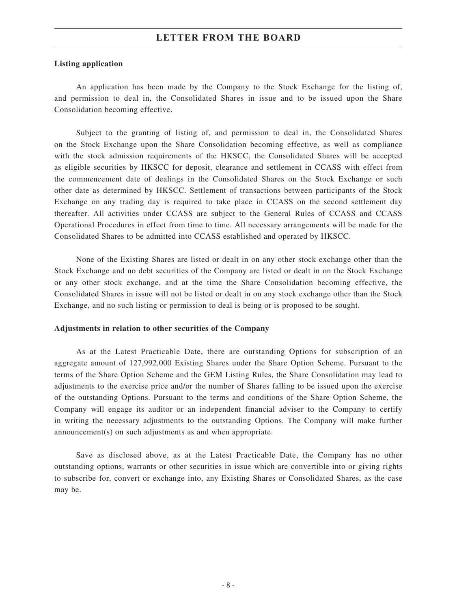#### **Listing application**

An application has been made by the Company to the Stock Exchange for the listing of, and permission to deal in, the Consolidated Shares in issue and to be issued upon the Share Consolidation becoming effective.

Subject to the granting of listing of, and permission to deal in, the Consolidated Shares on the Stock Exchange upon the Share Consolidation becoming effective, as well as compliance with the stock admission requirements of the HKSCC, the Consolidated Shares will be accepted as eligible securities by HKSCC for deposit, clearance and settlement in CCASS with effect from the commencement date of dealings in the Consolidated Shares on the Stock Exchange or such other date as determined by HKSCC. Settlement of transactions between participants of the Stock Exchange on any trading day is required to take place in CCASS on the second settlement day thereafter. All activities under CCASS are subject to the General Rules of CCASS and CCASS Operational Procedures in effect from time to time. All necessary arrangements will be made for the Consolidated Shares to be admitted into CCASS established and operated by HKSCC.

None of the Existing Shares are listed or dealt in on any other stock exchange other than the Stock Exchange and no debt securities of the Company are listed or dealt in on the Stock Exchange or any other stock exchange, and at the time the Share Consolidation becoming effective, the Consolidated Shares in issue will not be listed or dealt in on any stock exchange other than the Stock Exchange, and no such listing or permission to deal is being or is proposed to be sought.

#### **Adjustments in relation to other securities of the Company**

As at the Latest Practicable Date, there are outstanding Options for subscription of an aggregate amount of 127,992,000 Existing Shares under the Share Option Scheme. Pursuant to the terms of the Share Option Scheme and the GEM Listing Rules, the Share Consolidation may lead to adjustments to the exercise price and/or the number of Shares falling to be issued upon the exercise of the outstanding Options. Pursuant to the terms and conditions of the Share Option Scheme, the Company will engage its auditor or an independent financial adviser to the Company to certify in writing the necessary adjustments to the outstanding Options. The Company will make further announcement(s) on such adjustments as and when appropriate.

Save as disclosed above, as at the Latest Practicable Date, the Company has no other outstanding options, warrants or other securities in issue which are convertible into or giving rights to subscribe for, convert or exchange into, any Existing Shares or Consolidated Shares, as the case may be.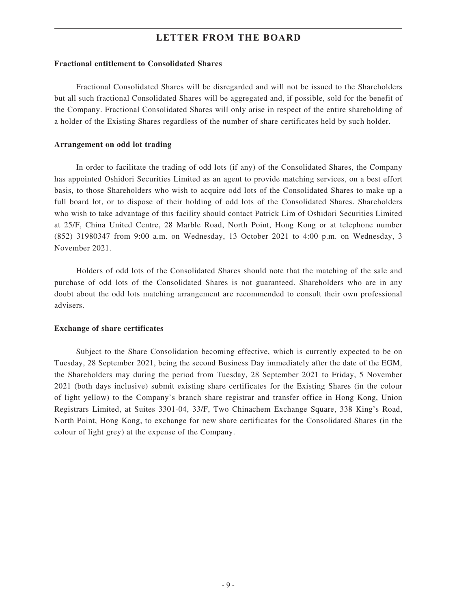#### **Fractional entitlement to Consolidated Shares**

Fractional Consolidated Shares will be disregarded and will not be issued to the Shareholders but all such fractional Consolidated Shares will be aggregated and, if possible, sold for the benefit of the Company. Fractional Consolidated Shares will only arise in respect of the entire shareholding of a holder of the Existing Shares regardless of the number of share certificates held by such holder.

#### **Arrangement on odd lot trading**

In order to facilitate the trading of odd lots (if any) of the Consolidated Shares, the Company has appointed Oshidori Securities Limited as an agent to provide matching services, on a best effort basis, to those Shareholders who wish to acquire odd lots of the Consolidated Shares to make up a full board lot, or to dispose of their holding of odd lots of the Consolidated Shares. Shareholders who wish to take advantage of this facility should contact Patrick Lim of Oshidori Securities Limited at 25/F, China United Centre, 28 Marble Road, North Point, Hong Kong or at telephone number (852) 31980347 from 9:00 a.m. on Wednesday, 13 October 2021 to 4:00 p.m. on Wednesday, 3 November 2021.

Holders of odd lots of the Consolidated Shares should note that the matching of the sale and purchase of odd lots of the Consolidated Shares is not guaranteed. Shareholders who are in any doubt about the odd lots matching arrangement are recommended to consult their own professional advisers.

#### **Exchange of share certificates**

Subject to the Share Consolidation becoming effective, which is currently expected to be on Tuesday, 28 September 2021, being the second Business Day immediately after the date of the EGM, the Shareholders may during the period from Tuesday, 28 September 2021 to Friday, 5 November 2021 (both days inclusive) submit existing share certificates for the Existing Shares (in the colour of light yellow) to the Company's branch share registrar and transfer office in Hong Kong, Union Registrars Limited, at Suites 3301-04, 33/F, Two Chinachem Exchange Square, 338 King's Road, North Point, Hong Kong, to exchange for new share certificates for the Consolidated Shares (in the colour of light grey) at the expense of the Company.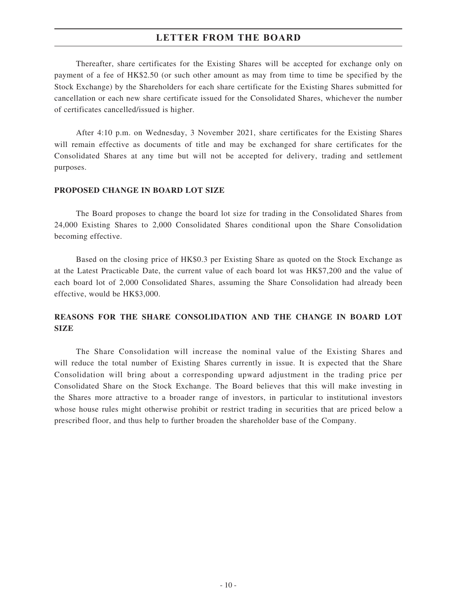Thereafter, share certificates for the Existing Shares will be accepted for exchange only on payment of a fee of HK\$2.50 (or such other amount as may from time to time be specified by the Stock Exchange) by the Shareholders for each share certificate for the Existing Shares submitted for cancellation or each new share certificate issued for the Consolidated Shares, whichever the number of certificates cancelled/issued is higher.

After 4:10 p.m. on Wednesday, 3 November 2021, share certificates for the Existing Shares will remain effective as documents of title and may be exchanged for share certificates for the Consolidated Shares at any time but will not be accepted for delivery, trading and settlement purposes.

#### **PROPOSED CHANGE IN BOARD LOT SIZE**

The Board proposes to change the board lot size for trading in the Consolidated Shares from 24,000 Existing Shares to 2,000 Consolidated Shares conditional upon the Share Consolidation becoming effective.

Based on the closing price of HK\$0.3 per Existing Share as quoted on the Stock Exchange as at the Latest Practicable Date, the current value of each board lot was HK\$7,200 and the value of each board lot of 2,000 Consolidated Shares, assuming the Share Consolidation had already been effective, would be HK\$3,000.

### **REASONS FOR THE SHARE CONSOLIDATION AND THE CHANGE IN BOARD LOT SIZE**

The Share Consolidation will increase the nominal value of the Existing Shares and will reduce the total number of Existing Shares currently in issue. It is expected that the Share Consolidation will bring about a corresponding upward adjustment in the trading price per Consolidated Share on the Stock Exchange. The Board believes that this will make investing in the Shares more attractive to a broader range of investors, in particular to institutional investors whose house rules might otherwise prohibit or restrict trading in securities that are priced below a prescribed floor, and thus help to further broaden the shareholder base of the Company.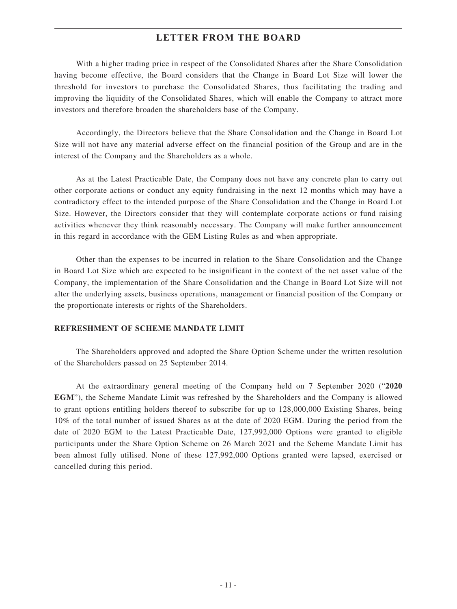With a higher trading price in respect of the Consolidated Shares after the Share Consolidation having become effective, the Board considers that the Change in Board Lot Size will lower the threshold for investors to purchase the Consolidated Shares, thus facilitating the trading and improving the liquidity of the Consolidated Shares, which will enable the Company to attract more investors and therefore broaden the shareholders base of the Company.

Accordingly, the Directors believe that the Share Consolidation and the Change in Board Lot Size will not have any material adverse effect on the financial position of the Group and are in the interest of the Company and the Shareholders as a whole.

As at the Latest Practicable Date, the Company does not have any concrete plan to carry out other corporate actions or conduct any equity fundraising in the next 12 months which may have a contradictory effect to the intended purpose of the Share Consolidation and the Change in Board Lot Size. However, the Directors consider that they will contemplate corporate actions or fund raising activities whenever they think reasonably necessary. The Company will make further announcement in this regard in accordance with the GEM Listing Rules as and when appropriate.

Other than the expenses to be incurred in relation to the Share Consolidation and the Change in Board Lot Size which are expected to be insignificant in the context of the net asset value of the Company, the implementation of the Share Consolidation and the Change in Board Lot Size will not alter the underlying assets, business operations, management or financial position of the Company or the proportionate interests or rights of the Shareholders.

#### **REFRESHMENT OF SCHEME MANDATE LIMIT**

The Shareholders approved and adopted the Share Option Scheme under the written resolution of the Shareholders passed on 25 September 2014.

At the extraordinary general meeting of the Company held on 7 September 2020 ("**2020 EGM**"), the Scheme Mandate Limit was refreshed by the Shareholders and the Company is allowed to grant options entitling holders thereof to subscribe for up to 128,000,000 Existing Shares, being 10% of the total number of issued Shares as at the date of 2020 EGM. During the period from the date of 2020 EGM to the Latest Practicable Date, 127,992,000 Options were granted to eligible participants under the Share Option Scheme on 26 March 2021 and the Scheme Mandate Limit has been almost fully utilised. None of these 127,992,000 Options granted were lapsed, exercised or cancelled during this period.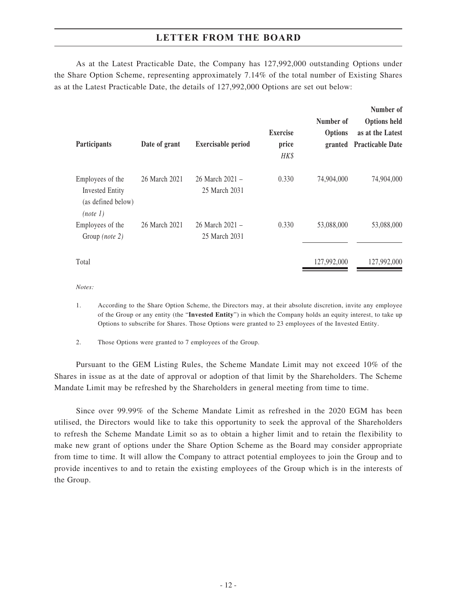As at the Latest Practicable Date, the Company has 127,992,000 outstanding Options under the Share Option Scheme, representing approximately 7.14% of the total number of Existing Shares as at the Latest Practicable Date, the details of 127,992,000 Options are set out below:

| Participants                                                                 | Date of grant | <b>Exercisable period</b>        | <b>Exercise</b><br>price<br>HK\$ | Number of<br><b>Options</b> | Number of<br><b>Options held</b><br>as at the Latest<br>granted Practicable Date |
|------------------------------------------------------------------------------|---------------|----------------------------------|----------------------------------|-----------------------------|----------------------------------------------------------------------------------|
| Employees of the<br><b>Invested Entity</b><br>(as defined below)<br>(note 1) | 26 March 2021 | 26 March 2021 –<br>25 March 2031 | 0.330                            | 74,904,000                  | 74,904,000                                                                       |
| Employees of the<br>Group (note 2)                                           | 26 March 2021 | 26 March 2021 –<br>25 March 2031 | 0.330                            | 53,088,000                  | 53,088,000                                                                       |
| Total                                                                        |               |                                  |                                  | 127,992,000                 | 127,992,000                                                                      |

*Notes:*

1. According to the Share Option Scheme, the Directors may, at their absolute discretion, invite any employee of the Group or any entity (the "**Invested Entity**") in which the Company holds an equity interest, to take up Options to subscribe for Shares. Those Options were granted to 23 employees of the Invested Entity.

2. Those Options were granted to 7 employees of the Group.

Pursuant to the GEM Listing Rules, the Scheme Mandate Limit may not exceed 10% of the Shares in issue as at the date of approval or adoption of that limit by the Shareholders. The Scheme Mandate Limit may be refreshed by the Shareholders in general meeting from time to time.

Since over 99.99% of the Scheme Mandate Limit as refreshed in the 2020 EGM has been utilised, the Directors would like to take this opportunity to seek the approval of the Shareholders to refresh the Scheme Mandate Limit so as to obtain a higher limit and to retain the flexibility to make new grant of options under the Share Option Scheme as the Board may consider appropriate from time to time. It will allow the Company to attract potential employees to join the Group and to provide incentives to and to retain the existing employees of the Group which is in the interests of the Group.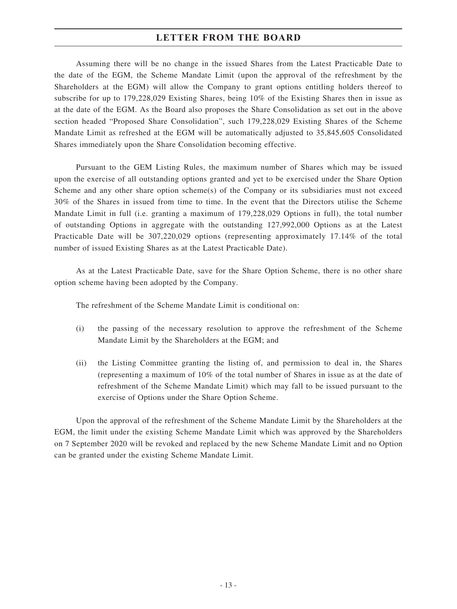Assuming there will be no change in the issued Shares from the Latest Practicable Date to the date of the EGM, the Scheme Mandate Limit (upon the approval of the refreshment by the Shareholders at the EGM) will allow the Company to grant options entitling holders thereof to subscribe for up to 179,228,029 Existing Shares, being 10% of the Existing Shares then in issue as at the date of the EGM. As the Board also proposes the Share Consolidation as set out in the above section headed "Proposed Share Consolidation", such 179,228,029 Existing Shares of the Scheme Mandate Limit as refreshed at the EGM will be automatically adjusted to 35,845,605 Consolidated Shares immediately upon the Share Consolidation becoming effective.

Pursuant to the GEM Listing Rules, the maximum number of Shares which may be issued upon the exercise of all outstanding options granted and yet to be exercised under the Share Option Scheme and any other share option scheme(s) of the Company or its subsidiaries must not exceed 30% of the Shares in issued from time to time. In the event that the Directors utilise the Scheme Mandate Limit in full (i.e. granting a maximum of 179,228,029 Options in full), the total number of outstanding Options in aggregate with the outstanding 127,992,000 Options as at the Latest Practicable Date will be 307,220,029 options (representing approximately 17.14% of the total number of issued Existing Shares as at the Latest Practicable Date).

As at the Latest Practicable Date, save for the Share Option Scheme, there is no other share option scheme having been adopted by the Company.

The refreshment of the Scheme Mandate Limit is conditional on:

- (i) the passing of the necessary resolution to approve the refreshment of the Scheme Mandate Limit by the Shareholders at the EGM; and
- (ii) the Listing Committee granting the listing of, and permission to deal in, the Shares (representing a maximum of 10% of the total number of Shares in issue as at the date of refreshment of the Scheme Mandate Limit) which may fall to be issued pursuant to the exercise of Options under the Share Option Scheme.

Upon the approval of the refreshment of the Scheme Mandate Limit by the Shareholders at the EGM, the limit under the existing Scheme Mandate Limit which was approved by the Shareholders on 7 September 2020 will be revoked and replaced by the new Scheme Mandate Limit and no Option can be granted under the existing Scheme Mandate Limit.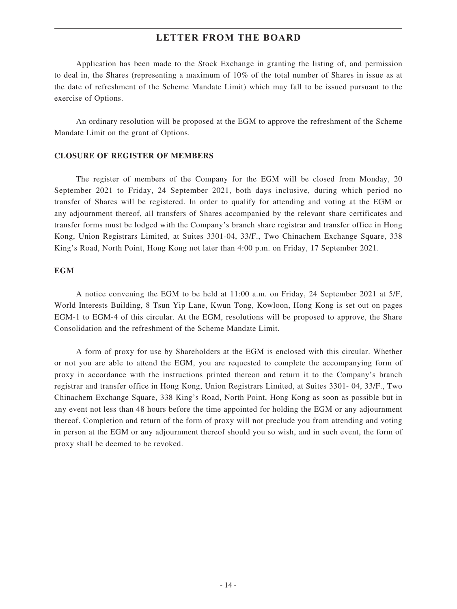Application has been made to the Stock Exchange in granting the listing of, and permission to deal in, the Shares (representing a maximum of 10% of the total number of Shares in issue as at the date of refreshment of the Scheme Mandate Limit) which may fall to be issued pursuant to the exercise of Options.

An ordinary resolution will be proposed at the EGM to approve the refreshment of the Scheme Mandate Limit on the grant of Options.

#### **CLOSURE OF REGISTER OF MEMBERS**

The register of members of the Company for the EGM will be closed from Monday, 20 September 2021 to Friday, 24 September 2021, both days inclusive, during which period no transfer of Shares will be registered. In order to qualify for attending and voting at the EGM or any adjournment thereof, all transfers of Shares accompanied by the relevant share certificates and transfer forms must be lodged with the Company's branch share registrar and transfer office in Hong Kong, Union Registrars Limited, at Suites 3301-04, 33/F., Two Chinachem Exchange Square, 338 King's Road, North Point, Hong Kong not later than 4:00 p.m. on Friday, 17 September 2021.

#### **EGM**

A notice convening the EGM to be held at 11:00 a.m. on Friday, 24 September 2021 at 5/F, World Interests Building, 8 Tsun Yip Lane, Kwun Tong, Kowloon, Hong Kong is set out on pages EGM-1 to EGM-4 of this circular. At the EGM, resolutions will be proposed to approve, the Share Consolidation and the refreshment of the Scheme Mandate Limit.

A form of proxy for use by Shareholders at the EGM is enclosed with this circular. Whether or not you are able to attend the EGM, you are requested to complete the accompanying form of proxy in accordance with the instructions printed thereon and return it to the Company's branch registrar and transfer office in Hong Kong, Union Registrars Limited, at Suites 3301- 04, 33/F., Two Chinachem Exchange Square, 338 King's Road, North Point, Hong Kong as soon as possible but in any event not less than 48 hours before the time appointed for holding the EGM or any adjournment thereof. Completion and return of the form of proxy will not preclude you from attending and voting in person at the EGM or any adjournment thereof should you so wish, and in such event, the form of proxy shall be deemed to be revoked.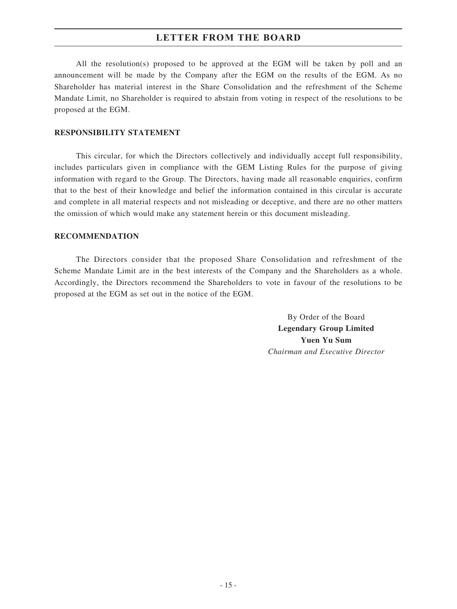All the resolution(s) proposed to be approved at the EGM will be taken by poll and an announcement will be made by the Company after the EGM on the results of the EGM. As no Shareholder has material interest in the Share Consolidation and the refreshment of the Scheme Mandate Limit, no Shareholder is required to abstain from voting in respect of the resolutions to be proposed at the EGM.

#### **RESPONSIBILITY STATEMENT**

This circular, for which the Directors collectively and individually accept full responsibility, includes particulars given in compliance with the GEM Listing Rules for the purpose of giving information with regard to the Group. The Directors, having made all reasonable enquiries, confirm that to the best of their knowledge and belief the information contained in this circular is accurate and complete in all material respects and not misleading or deceptive, and there are no other matters the omission of which would make any statement herein or this document misleading.

#### **RECOMMENDATION**

The Directors consider that the proposed Share Consolidation and refreshment of the Scheme Mandate Limit are in the best interests of the Company and the Shareholders as a whole. Accordingly, the Directors recommend the Shareholders to vote in favour of the resolutions to be proposed at the EGM as set out in the notice of the EGM.

> By Order of the Board **Legendary Group Limited Yuen Yu Sum** *Chairman and Executive Director*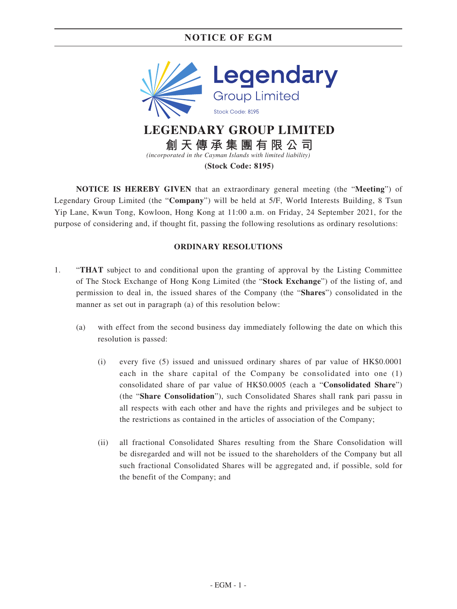

**NOTICE IS HEREBY GIVEN** that an extraordinary general meeting (the "**Meeting**") of Legendary Group Limited (the "**Company**") will be held at 5/F, World Interests Building, 8 Tsun Yip Lane, Kwun Tong, Kowloon, Hong Kong at 11:00 a.m. on Friday, 24 September 2021, for the purpose of considering and, if thought fit, passing the following resolutions as ordinary resolutions:

### **ORDINARY RESOLUTIONS**

- 1. "**THAT** subject to and conditional upon the granting of approval by the Listing Committee of The Stock Exchange of Hong Kong Limited (the "**Stock Exchange**") of the listing of, and permission to deal in, the issued shares of the Company (the "**Shares**") consolidated in the manner as set out in paragraph (a) of this resolution below:
	- (a) with effect from the second business day immediately following the date on which this resolution is passed:
		- (i) every five (5) issued and unissued ordinary shares of par value of HK\$0.0001 each in the share capital of the Company be consolidated into one (1) consolidated share of par value of HK\$0.0005 (each a "**Consolidated Share**") (the "**Share Consolidation**"), such Consolidated Shares shall rank pari passu in all respects with each other and have the rights and privileges and be subject to the restrictions as contained in the articles of association of the Company;
		- (ii) all fractional Consolidated Shares resulting from the Share Consolidation will be disregarded and will not be issued to the shareholders of the Company but all such fractional Consolidated Shares will be aggregated and, if possible, sold for the benefit of the Company; and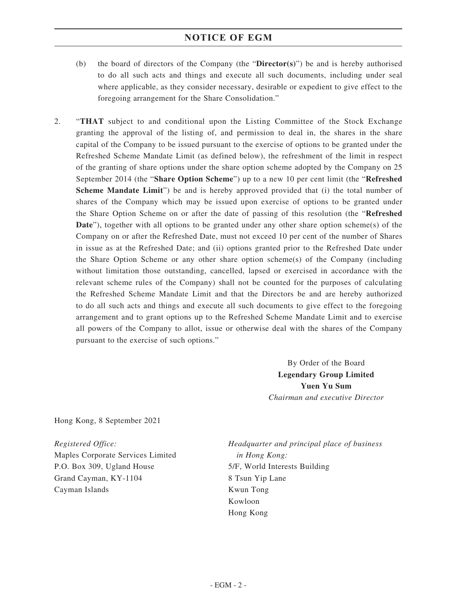- (b) the board of directors of the Company (the "**Director(s)**") be and is hereby authorised to do all such acts and things and execute all such documents, including under seal where applicable, as they consider necessary, desirable or expedient to give effect to the foregoing arrangement for the Share Consolidation."
- 2. "**THAT** subject to and conditional upon the Listing Committee of the Stock Exchange granting the approval of the listing of, and permission to deal in, the shares in the share capital of the Company to be issued pursuant to the exercise of options to be granted under the Refreshed Scheme Mandate Limit (as defined below), the refreshment of the limit in respect of the granting of share options under the share option scheme adopted by the Company on 25 September 2014 (the "**Share Option Scheme**") up to a new 10 per cent limit (the "**Refreshed Scheme Mandate Limit**") be and is hereby approved provided that (i) the total number of shares of the Company which may be issued upon exercise of options to be granted under the Share Option Scheme on or after the date of passing of this resolution (the "**Refreshed Date**"), together with all options to be granted under any other share option scheme(s) of the Company on or after the Refreshed Date, must not exceed 10 per cent of the number of Shares in issue as at the Refreshed Date; and (ii) options granted prior to the Refreshed Date under the Share Option Scheme or any other share option scheme(s) of the Company (including without limitation those outstanding, cancelled, lapsed or exercised in accordance with the relevant scheme rules of the Company) shall not be counted for the purposes of calculating the Refreshed Scheme Mandate Limit and that the Directors be and are hereby authorized to do all such acts and things and execute all such documents to give effect to the foregoing arrangement and to grant options up to the Refreshed Scheme Mandate Limit and to exercise all powers of the Company to allot, issue or otherwise deal with the shares of the Company pursuant to the exercise of such options."

By Order of the Board **Legendary Group Limited Yuen Yu Sum** *Chairman and executive Director*

Hong Kong, 8 September 2021

*Registered Office:* Maples Corporate Services Limited P.O. Box 309, Ugland House Grand Cayman, KY-1104 Cayman Islands

*Headquarter and principal place of business in Hong Kong:* 5/F, World Interests Building 8 Tsun Yip Lane Kwun Tong Kowloon Hong Kong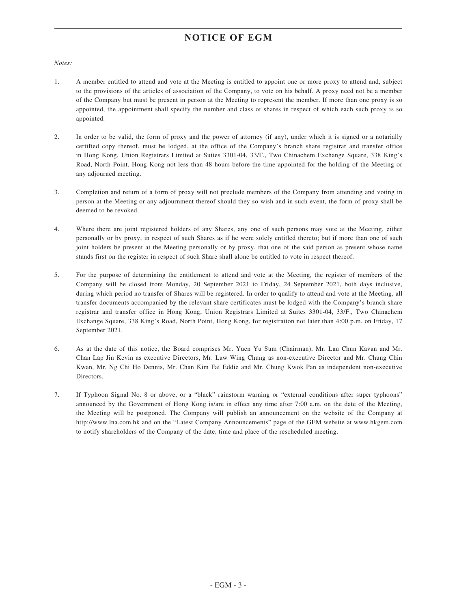#### *Notes:*

- 1. A member entitled to attend and vote at the Meeting is entitled to appoint one or more proxy to attend and, subject to the provisions of the articles of association of the Company, to vote on his behalf. A proxy need not be a member of the Company but must be present in person at the Meeting to represent the member. If more than one proxy is so appointed, the appointment shall specify the number and class of shares in respect of which each such proxy is so appointed.
- 2. In order to be valid, the form of proxy and the power of attorney (if any), under which it is signed or a notarially certified copy thereof, must be lodged, at the office of the Company's branch share registrar and transfer office in Hong Kong, Union Registrars Limited at Suites 3301-04, 33/F., Two Chinachem Exchange Square, 338 King's Road, North Point, Hong Kong not less than 48 hours before the time appointed for the holding of the Meeting or any adjourned meeting.
- 3. Completion and return of a form of proxy will not preclude members of the Company from attending and voting in person at the Meeting or any adjournment thereof should they so wish and in such event, the form of proxy shall be deemed to be revoked.
- 4. Where there are joint registered holders of any Shares, any one of such persons may vote at the Meeting, either personally or by proxy, in respect of such Shares as if he were solely entitled thereto; but if more than one of such joint holders be present at the Meeting personally or by proxy, that one of the said person as present whose name stands first on the register in respect of such Share shall alone be entitled to vote in respect thereof.
- 5. For the purpose of determining the entitlement to attend and vote at the Meeting, the register of members of the Company will be closed from Monday, 20 September 2021 to Friday, 24 September 2021, both days inclusive, during which period no transfer of Shares will be registered. In order to qualify to attend and vote at the Meeting, all transfer documents accompanied by the relevant share certificates must be lodged with the Company's branch share registrar and transfer office in Hong Kong, Union Registrars Limited at Suites 3301-04, 33/F., Two Chinachem Exchange Square, 338 King's Road, North Point, Hong Kong, for registration not later than 4:00 p.m. on Friday, 17 September 2021.
- 6. As at the date of this notice, the Board comprises Mr. Yuen Yu Sum (Chairman), Mr. Lau Chun Kavan and Mr. Chan Lap Jin Kevin as executive Directors, Mr. Law Wing Chung as non-executive Director and Mr. Chung Chin Kwan, Mr. Ng Chi Ho Dennis, Mr. Chan Kim Fai Eddie and Mr. Chung Kwok Pan as independent non-executive Directors.
- 7. If Typhoon Signal No. 8 or above, or a "black" rainstorm warning or "external conditions after super typhoons" announced by the Government of Hong Kong is/are in effect any time after 7:00 a.m. on the date of the Meeting, the Meeting will be postponed. The Company will publish an announcement on the website of the Company at http://www.lna.com.hk and on the "Latest Company Announcements" page of the GEM website at www.hkgem.com to notify shareholders of the Company of the date, time and place of the rescheduled meeting.